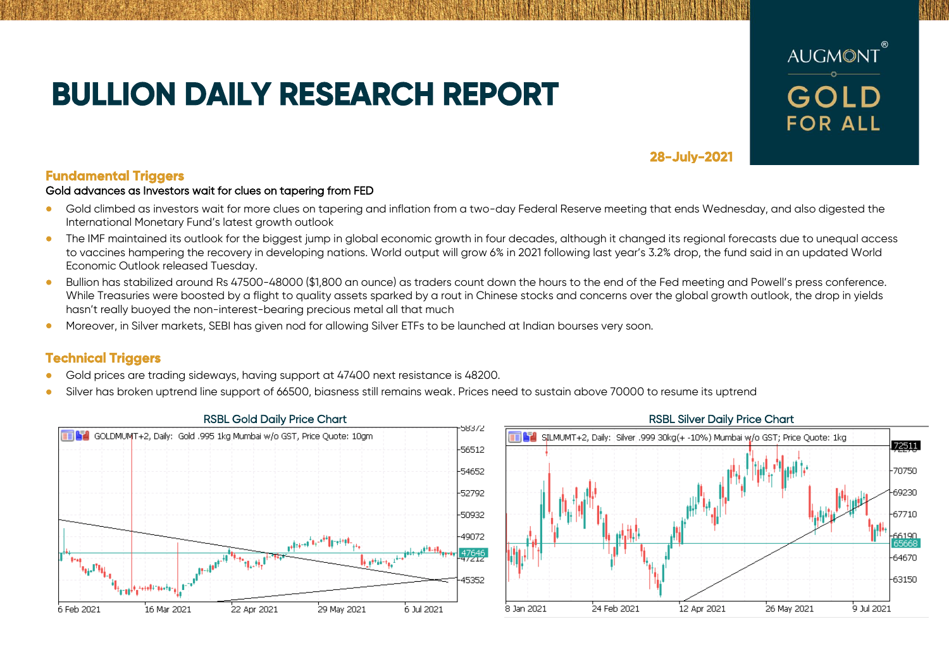# **BULLION DAILY RESEARCH REPORT**



**28-July-2021** 

## **Fundamental Triggers**

### Gold advances as Investors wait for clues on tapering from FED

- Gold climbed as investors wait for more clues on tapering and inflation from a two-day Federal Reserve meeting that ends Wednesday, and also digested the International Monetary Fund's latest growth outlook
- The IMF maintained its outlook for the biggest jump in global economic growth in four decades, although it changed its regional forecasts due to unequal access to vaccines hampering the recovery in developing nations. World output will grow 6% in 2021 following last year's 3.2% drop, the fund said in an updated World Economic Outlook released Tuesday.
- Bullion has stabilized around Rs 47500-48000 (\$1,800 an ounce) as traders count down the hours to the end of the Fed meeting and Powell's press conference. While Treasuries were boosted by a flight to quality assets sparked by a rout in Chinese stocks and concerns over the global growth outlook, the drop in yields hasn't really buoyed the non-interest-bearing precious metal all that much
- Moreover, in Silver markets, SEBI has given nod for allowing Silver ETFs to be launched at Indian bourses very soon.

# **Technical Triggers**

- Gold prices are trading sideways, having support at 47400 next resistance is 48200.
- Silver has broken uptrend line support of 66500, biasness still remains weak. Prices need to sustain above 70000 to resume its uptrend



## SILMUMT+2, Daily: Silver 1999 30kg (+ -10%) Mumbai w/o GST; Price Quote: 1kg 72511 70750 69230  $-67710$ 6190 64670 -63150 26 May 2021 à tul 2021. .<br>8. Jan 2021 24 Feb 2021 12 Apr 2021